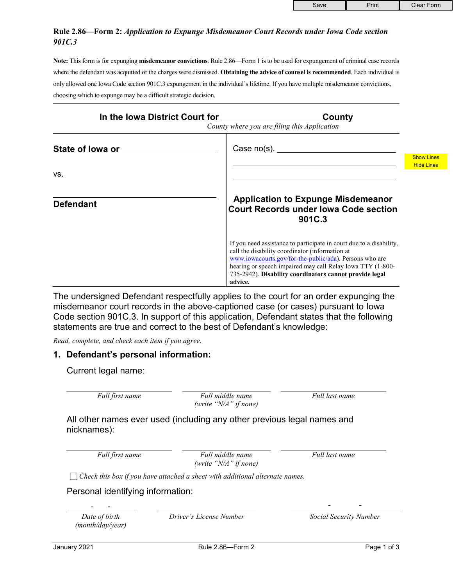## **Rule 2.86—Form 2:** *Application to Expunge Misdemeanor Court Records under Iowa Code section 901C.3*

**Note:** This form is for expunging **misdemeanor convictions**. Rule 2.86—Form 1 is to be used for expungement of criminal case records where the defendant was acquitted or the charges were dismissed. **Obtaining the advice of counsel is recommended**. Each individual is only allowed one Iowa Code section 901C.3 expungement in the individual's lifetime. If you have multiple misdemeanor convictions, choosing which to expunge may be a difficult strategic decision.

| In the Iowa District Court for           | County<br>County where you are filing this Application                                                                                                                                                                                                                                                                |                   |
|------------------------------------------|-----------------------------------------------------------------------------------------------------------------------------------------------------------------------------------------------------------------------------------------------------------------------------------------------------------------------|-------------------|
| State of lowa or <b>state</b> of lowa or | Case $no(s)$ .                                                                                                                                                                                                                                                                                                        | <b>Show Lines</b> |
| VS.                                      |                                                                                                                                                                                                                                                                                                                       | <b>Hide Lines</b> |
| <b>Defendant</b>                         | <b>Application to Expunge Misdemeanor</b><br><b>Court Records under lowa Code section</b><br>901C.3                                                                                                                                                                                                                   |                   |
|                                          | If you need assistance to participate in court due to a disability,<br>call the disability coordinator (information at<br>www.iowacourts.gov/for-the-public/ada). Persons who are<br>hearing or speech impaired may call Relay Iowa TTY (1-800-<br>735-2942). Disability coordinators cannot provide legal<br>advice. |                   |

The undersigned Defendant respectfully applies to the court for an order expunging the misdemeanor court records in the above-captioned case (or cases) pursuant to Iowa Code section 901C.3. In support of this application, Defendant states that the following statements are true and correct to the best of Defendant's knowledge:

*Read, complete, and check each item if you agree.*

## **1. Defendant's personal information:**

Current legal name:

*Full first name Full middle name (write "N/A" if none)* *Full last name*

All other names ever used (including any other previous legal names and nicknames):

*Full first name Full middle name (write "N/A" if none)* *Full last name*

*Check this box if you have attached a sheet with additional alternate names.*

Personal identifying information:

*Date of birth (month/day/year)* *Driver's License Number Social Security Number*

- - **- -**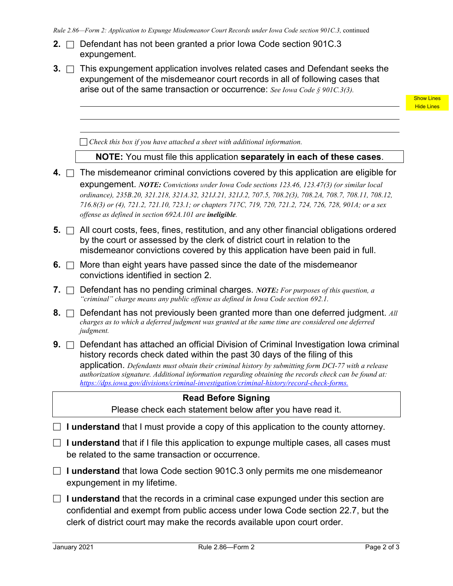|  | <b>2.</b> $\Box$ Defendant has not been granted a prior lowa Code section 901C.3 |  |
|--|----------------------------------------------------------------------------------|--|
|  | expungement.                                                                     |  |

**3.**  $\Box$  This expungement application involves related cases and Defendant seeks the expungement of the misdemeanor court records in all of following cases that arise out of the same transaction or occurrence: *See Iowa Code § 901C.3(3).*

> Show Lines Hide Lines

*Check this box if you have attached a sheet with additional information.*

#### **NOTE:** You must file this application **separately in each of these cases**.

- **4.** □ The misdemeanor criminal convictions covered by this application are eligible for expungement. *NOTE: Convictions under Iowa Code sections 123.46, 123.47(3) (or similar local ordinance), 235B.20, 321.218, 321A.32, 321J.21, 321J.2, 707.5, 708.2(3), 708.2A, 708.7, 708.11, 708.12, 716.8(3) or (4), 721.2, 721.10, 723.1; or chapters 717C, 719, 720, 721.2, 724, 726, 728, 901A; or a sex offense as defined in section 692A.101 are ineligible.*
- **5.**  $\Box$  All court costs, fees, fines, restitution, and any other financial obligations ordered by the court or assessed by the clerk of district court in relation to the misdemeanor convictions covered by this application have been paid in full.
- **6.**  $\Box$  More than eight years have passed since the date of the misdemeanor convictions identified in section 2.
- **7.** Defendant has no pending criminal charges. *NOTE: For purposes of this question, a "criminal" charge means any public offense as defined in Iowa Code section 692.1.*
- **8.**  $\Box$  Defendant has not previously been granted more than one deferred judgment. All *charges as to which a deferred judgment was granted at the same time are considered one deferred judgment.*
- **9.** □ Defendant has attached an official Division of Criminal Investigation Iowa criminal history records check dated within the past 30 days of the filing of this application. *Defendants must obtain their criminal history by submitting form DCI-77 with a release authorization signature. Additional information regarding obtaining the records check can be found at: [https://dps.iowa.gov/divisions/criminal-investigation/criminal-history/record-check-forms.](https://dps.iowa.gov/divisions/criminal-investigation/criminal-history/record-check-forms)*

### **Read Before Signing**

Please check each statement below after you have read it.

- □ **I understand** that I must provide a copy of this application to the county attorney.
- □ **I understand** that if I file this application to expunge multiple cases, all cases must be related to the same transaction or occurrence.
- □ **I understand** that Iowa Code section 901C.3 only permits me one misdemeanor expungement in my lifetime.
- $\Box$  **I understand** that the records in a criminal case expunged under this section are confidential and exempt from public access under Iowa Code section 22.7, but the clerk of district court may make the records available upon court order.